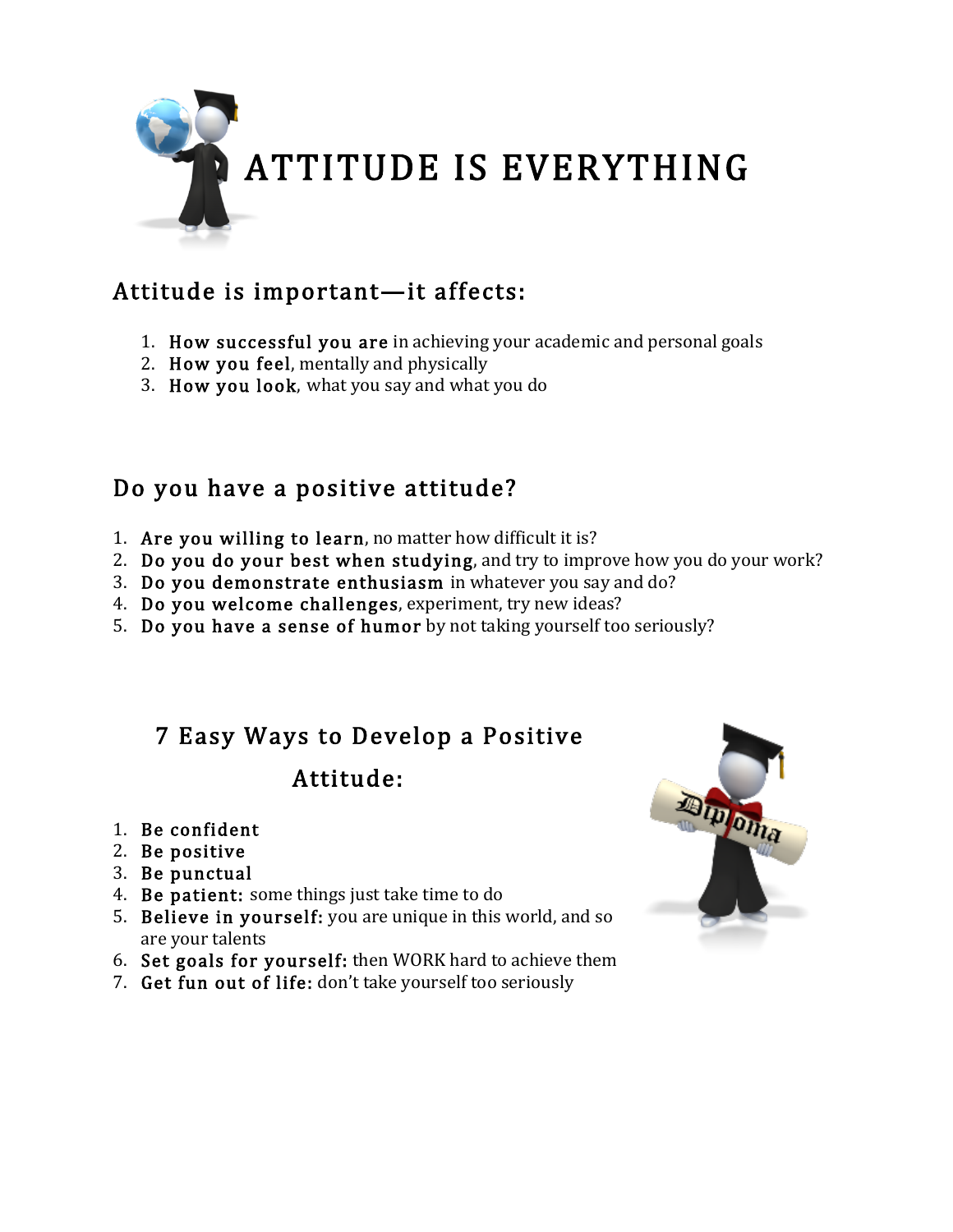

## Attitude is important—it affects:

- 1. How successful you are in achieving your academic and personal goals
- 2. How you feel, mentally and physically
- 3. How you look, what you say and what you do

### Do you have a positive attitude?

- 1. Are you willing to learn, no matter how difficult it is?
- 2. Do you do your best when studying, and try to improve how you do your work?
- 3. Do you demonstrate enthusiasm in whatever you say and do?
- 4. Do you welcome challenges, experiment, try new ideas?
- 5. Do you have a sense of humor by not taking yourself too seriously?

#### 7 Easy Ways to Develop a Positive

#### Attitude:

- 1. Be confident
- 2. Be positive
- 3. Be punctual
- 4. Be patient: some things just take time to do
- 5. Believe in yourself: you are unique in this world, and so are your talents
- 6. Set goals for yourself: then WORK hard to achieve them
- 7. Get fun out of life: don't take yourself too seriously